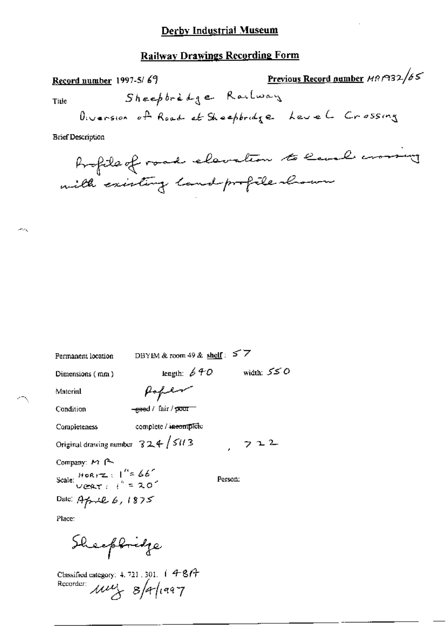### **Railway Drawings Recording Form**

Previous Record number MRP32/65 Record number 1997-5/69 Sheepbredge Railway Title Diversion of Road at Sheepbridge Level Crossing **Brief Description** 

Profile of road elevation to leval crossing with existing land-profile shown

| Permanent location                                                           | DBYIM & room 49 & shelf: $57$ |         |            |
|------------------------------------------------------------------------------|-------------------------------|---------|------------|
| Dimensions (mm)                                                              | length: $640$                 |         | width: 550 |
| Material                                                                     | Hoper                         |         |            |
| Condition                                                                    | eeed / fair / poor            |         |            |
| Completeness                                                                 | complete / incomplete         |         |            |
| Original drawing number $324 / 5113$                                         |                               |         | 722        |
| ← Company: اسم Company                                                       |                               |         |            |
| Scale: $HOR(T) = \frac{1}{2} 66^{\circ}$<br>$V@T = \frac{1}{2} = 20^{\circ}$ |                               | Person: |            |
| Date: April 6, 1875                                                          |                               |         |            |
|                                                                              |                               |         |            |

Place:

Sheepbridge

Classified category:  $4.721.301$ .  $1.487$ Recorder:  $\mu\nu_{x}$   $8/4/1997$ 

يحاسب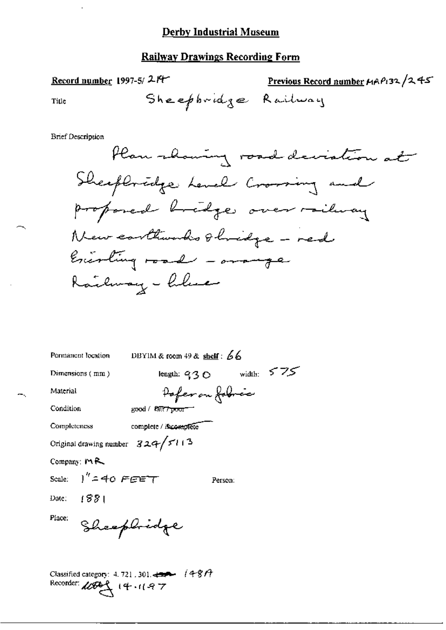## **Railway Drawings Recording Form**

| Sheepbridge Railway<br>Title<br><b>Brief Description</b><br>Sheeploredge Level Crossing and<br>proponed bridge over railway | Plan showing road deviation at |
|-----------------------------------------------------------------------------------------------------------------------------|--------------------------------|
|                                                                                                                             |                                |
|                                                                                                                             |                                |
|                                                                                                                             |                                |
|                                                                                                                             |                                |
|                                                                                                                             |                                |
|                                                                                                                             |                                |
| New conthumbs 8 hridge - red                                                                                                |                                |
| Exerting road - amonge                                                                                                      |                                |
|                                                                                                                             |                                |
| Railway - hlue                                                                                                              |                                |
|                                                                                                                             |                                |
|                                                                                                                             |                                |
|                                                                                                                             |                                |
| DBYIM & room $49$ & shelf: $66$<br>Permanent location                                                                       |                                |
| length: $93^\circ$<br>Dimensions (mm)                                                                                       | width: $575$                   |
| Pofer on Jobric<br>Material                                                                                                 |                                |
| Condition<br>$good / 8\pi\tau$ poor $-$                                                                                     |                                |
| Completeness<br>complete / incomplete                                                                                       |                                |
| Original drawing number $324/5113$                                                                                          |                                |
| Company: $M$ <sup>2</sup>                                                                                                   |                                |
| Scale: $1'' = 40$ FEET<br>Person:                                                                                           |                                |
| Date: 1881                                                                                                                  |                                |
| Place:                                                                                                                      |                                |
| Sheephidge                                                                                                                  |                                |
|                                                                                                                             |                                |

Recorder:  $\text{MFG}$  14.11.97

ф,

 $\bar{1}$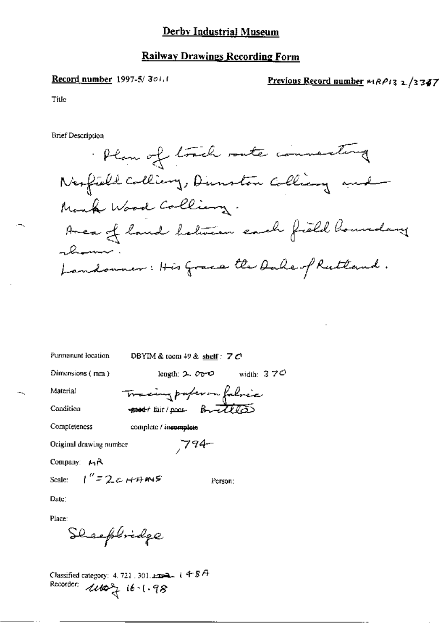#### Record number 1997-5/301.1

Previous Record number MRP13 2/3347

**Title** 

**Brief Description** 

Plan of track rate connecting Nexfield Colliany, Dunston Colliany and Mank Wood Colliany. Area of land between each field hourdary -lum Landonner: His Grace the Dake of Ruttand.

Permanent location DBYIM & room 49 & shelf:  $7C$ 

Tracing paper on followice

 $794-$ 

Dimensions (mm)

length:  $2\degree$  O vidth:  $3\degree$  70

Person:

Condition

Material

good fair/poor Brittles Completeness

complete / incomplete

Original drawing number

Company:  $H_1R$ 

Scale:

Date:

Place:

Sheep bridge

 $1''=2c+19.05$ 

Recorder:  $1100 + 16 - 1.98$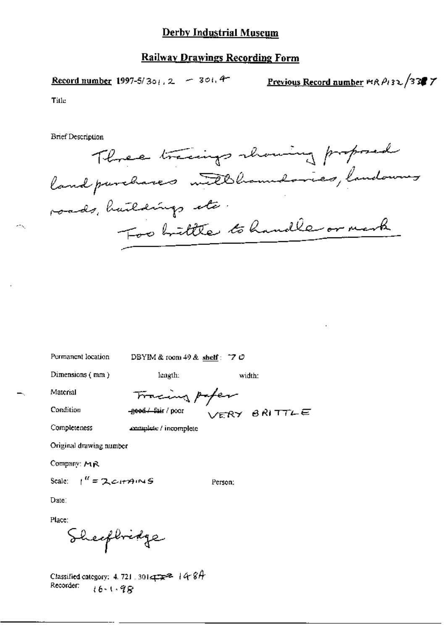**Record number 1997-5/301.2** - 301.4

Previous Record number  $wR \rho_1$ 32/33 7

Title

**Brief Description** 

Three tracings showing proposed land purchases untillhoundaries, landowner roads, huildings etc. Foo brittle to handle or mark

Permanent location

DBYIM & room 49 & shelf: 7  $\mathcal{O}$ 

Dimensions (mm)

length:

complete / incomplete

Material

Tracing paper -geed / fair / poor VERY BRITTLE

Condition

Completeness

Original drawing number

Company: MR

Scale:  $1'' = 2c$ *i* $m \le$ 

Person:

width:

Date:

Place:

Sheepbridge

Classified category: 4, 721, 301  $\pi$ <sup>2</sup> | 4 8 h Recorder:  $16 - 1.98$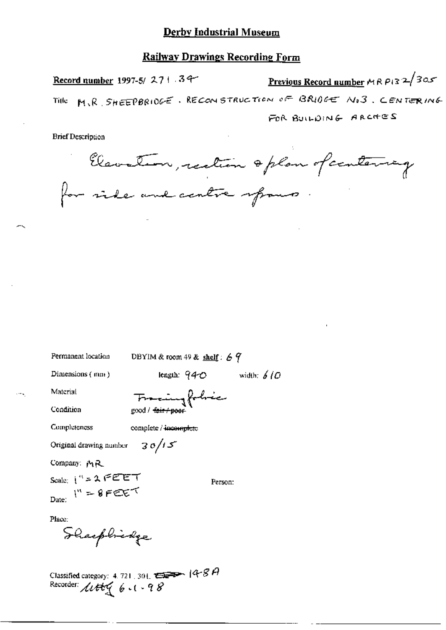Previous Record number MR  $P(3, 2/30x)$ Record number 1997-5/ $271.34$ M.R. SHEEPBRIOGE. RECONSTRUCTION OF BRIOGE NO3. CENTERING Title. FOR BUILDING ARCHES

**Brief Description** 

Elevation, rection & plan of centering for ride and centre spaces

Permanent location

DBYIM & room 49 & shelf:  $69$ 

Dimensions (mm)

length:  $940$ 

Material Condition

Francingfobric good / <del>fair / poo</del>r

Completeness

complete / incomplete

 $30/15$ Original drawing number

Company: MR

Scale:  $1^{n}$  = 2 FEET Date:  $I'' = 8$  FEET

Person:

width:  $6/0$ 

Place:

Shaephickge

Classified category: 4.721, 301,  $\overbrace{C}$  = 14-8 A<br>Recorder:  $\mathcal{U}\mathcal{H}\mathcal{G}$  (e = 1 - 9 8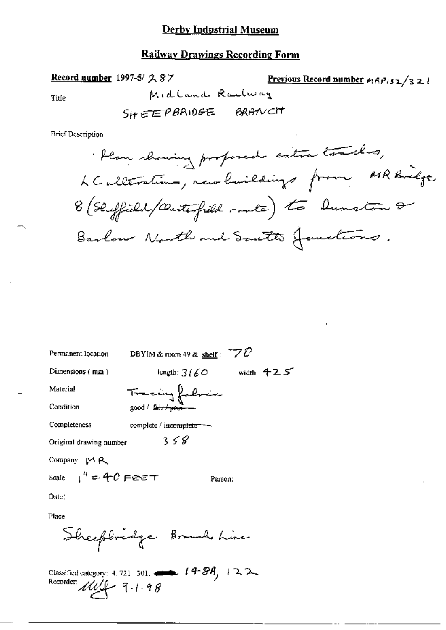## **Railway Drawings Recording Form**

Record number 1997-5/ 287

Previous Record number  $nRP/32/32$ Midland Radway

 $\operatorname{Title}$ 

**Brief Description** 

| Permanent location      | DBYIM & room 49 & shelf : $70$          |              |
|-------------------------|-----------------------------------------|--------------|
| Dimensions (mm)         | length: $3160 -$                        | width: $425$ |
| Material                | Tracing fabric                          |              |
| Condition               | good / fair / peor-                     |              |
| Completeness            | complete / i <del>ncomplete - -</del> - |              |
| Original drawing number | 358                                     |              |
| Company $M$ $R$         |                                         |              |
| Scale: $1'' = 40$ FeeT  | Person:                                 |              |
| Date:                   |                                         |              |
| Place:                  |                                         |              |
|                         | Sheephridge Brouch Line                 |              |
|                         |                                         |              |

Classified category: 4.721.301.  $\leftarrow$  14-8A, 122.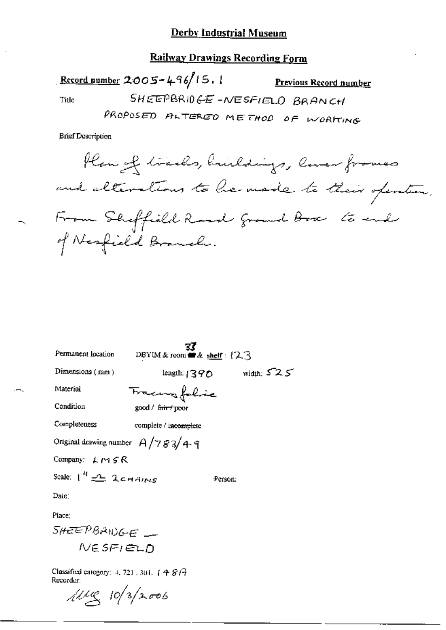### **Railway Drawings Recording Form**

Record number 2005-496/15, 1 **Previous Record number** SHEEPBRIDGE-NESFIELD BRANCH Title PROPOSED ALTERED METHOD OF WORKING

**Brief Description** 

Plan of tracks, buildings, liver frames and elterations to be made to their operation. From Sheffield Road frommel Box to end of Nesfield Branch.

|                                                               | 33                                            |                             |  |  |
|---------------------------------------------------------------|-----------------------------------------------|-----------------------------|--|--|
| Permanent location                                            | DBYIM & room $\blacksquare$ & shelf : { $2.3$ |                             |  |  |
| Dimensions $(mn)$                                             |                                               | length: $1390$ width: $525$ |  |  |
| Material                                                      | Tracing folice                                |                             |  |  |
| Condition                                                     | good / <del>fair / po</del> or                |                             |  |  |
| Completeness                                                  | complete / incomplete                         |                             |  |  |
| Original drawing number $A/783/49$                            |                                               |                             |  |  |
| Company: $L \sim f \le R$                                     |                                               |                             |  |  |
| Scale: $1^R \nightharpoonup 2$ chains                         |                                               | -Person:                    |  |  |
| Date:                                                         |                                               |                             |  |  |
| Place:                                                        |                                               |                             |  |  |
| SHEEPBAINGE _                                                 |                                               |                             |  |  |
| NESFIELD                                                      |                                               |                             |  |  |
| Classified category: $+$ 721, 301, $+$ $4.8$ $+$<br>Recorder: |                                               |                             |  |  |

corder:<br>*hibille*s 10/3/2006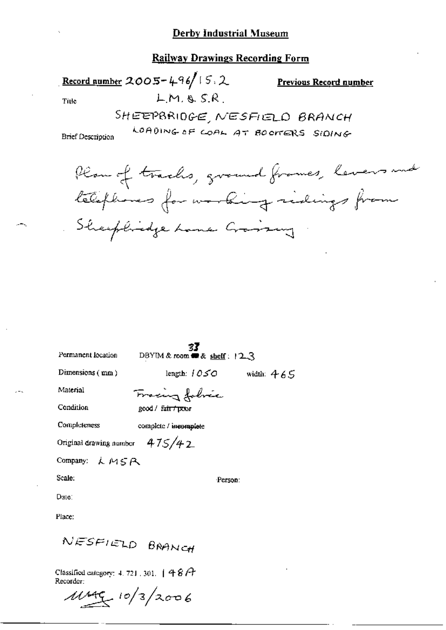LMASR

Record number  $2005 - 496/15$ , 2

**Previous Record number** 

Title

SHEEPBRIDGE, NESFIELD BRANCH LOADING OF COAL AT BOOMERS SIDING

**Brief Description** 



Permanent location

**33**<br>DBYIM & room  $\blacksquare$  & shelf:  $12.3$ 

Dimensions (mm)

length:  $1050$  width:  $465$ 

Material

Fracing folvic good / fair / poor

Condition

Completeness complete / incomplete

Original drawing number  $475/42$ 

Company:  $LMSR$ 

Scale:

Person:

Place:

Date:

NESFIELD BRANCH

Classified category: 4, 721, 301,  $|48A$ Recorder:

 $11499/10/3/2006$